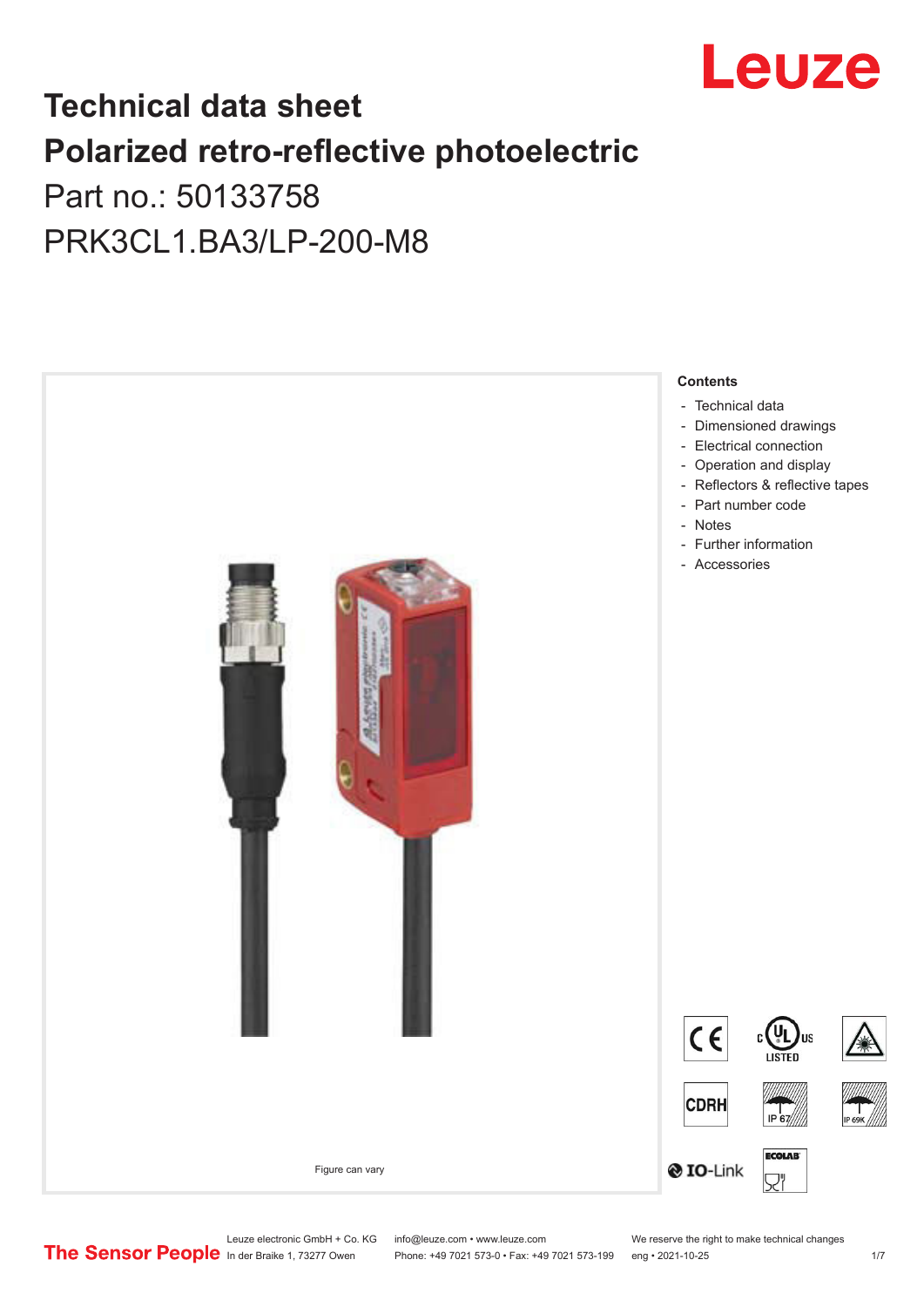

## **Technical data sheet Polarized retro-reflective photoelectric**  Part no.: 50133758

PRK3CL1.BA3/LP-200-M8



Leuze electronic GmbH + Co. KG info@leuze.com • www.leuze.com We reserve the right to make technical changes<br>
The Sensor People in der Braike 1, 73277 Owen Phone: +49 7021 573-0 • Fax: +49 7021 573-199 eng • 2021-10-25

Phone: +49 7021 573-0 • Fax: +49 7021 573-199 eng • 2021-10-25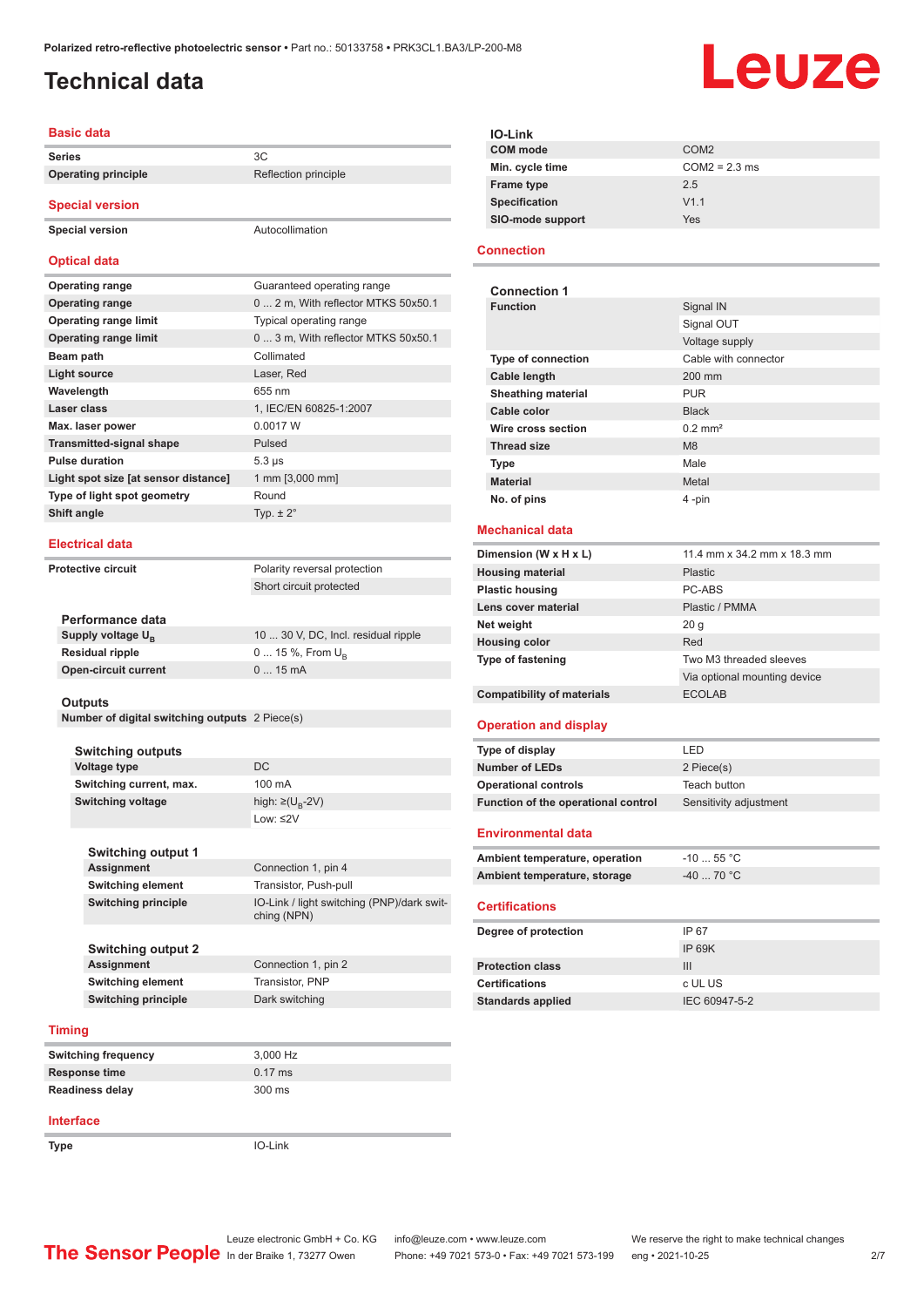## <span id="page-1-0"></span>**Technical data**

# Leuze

### **Basic data**

| <b>Series</b>              |                      |
|----------------------------|----------------------|
| <b>Operating principle</b> | Reflection principle |

**Special version**

**Special version** Autocollimation

### **Optical data**

| <b>Operating range</b>               | Guaranteed operating range          |
|--------------------------------------|-------------------------------------|
| <b>Operating range</b>               | 0  2 m, With reflector MTKS 50x50.1 |
| <b>Operating range limit</b>         | Typical operating range             |
| <b>Operating range limit</b>         | 0  3 m, With reflector MTKS 50x50.1 |
| Beam path                            | Collimated                          |
| <b>Light source</b>                  | Laser, Red                          |
| Wavelength                           | 655 nm                              |
| Laser class                          | 1, IEC/EN 60825-1:2007              |
| Max. laser power                     | 0.0017 W                            |
| <b>Transmitted-signal shape</b>      | Pulsed                              |
| <b>Pulse duration</b>                | $5.3 \,\mu s$                       |
| Light spot size [at sensor distance] | 1 mm [3,000 mm]                     |
| Type of light spot geometry          | Round                               |
| Shift angle                          | Typ. $\pm 2^{\circ}$                |
|                                      |                                     |

#### **Electrical data**

| <b>Protective circuit</b>   | Polarity reversal protection        |
|-----------------------------|-------------------------------------|
|                             | Short circuit protected             |
|                             |                                     |
| Performance data            |                                     |
| Supply voltage $U_{B}$      | 10  30 V, DC, Incl. residual ripple |
| <b>Residual ripple</b>      | $0 15 \%$ , From $U_{\rm B}$        |
| <b>Open-circuit current</b> | $015$ mA                            |

### **Outputs**

**Number of digital switching outputs** 2 Piece(s)

| <b>Switching outputs</b> |                                   |
|--------------------------|-----------------------------------|
| Voltage type             | DC.                               |
| Switching current, max.  | $100 \text{ mA}$                  |
| <b>Switching voltage</b> | high: $\geq$ (U <sub>B</sub> -2V) |
|                          | Low: $\leq$ 2V                    |

| Switching output 1  |                                                           |
|---------------------|-----------------------------------------------------------|
| <b>Assignment</b>   | Connection 1, pin 4                                       |
| Switching element   | Transistor, Push-pull                                     |
| Switching principle | IO-Link / light switching (PNP)/dark swit-<br>ching (NPN) |
|                     |                                                           |

**Connection 1, pin 2** 

**Switching output 2 Switching element** Transistor, PNP **Switching principle** Dark switching

#### **Timing**

| <b>Switching frequency</b> | 3.000 Hz          |
|----------------------------|-------------------|
| Response time              | $0.17 \text{ ms}$ |
| <b>Readiness delay</b>     | 300 ms            |

### **Interface**

**Type** IO-Link

| COM <sub>2</sub> |
|------------------|
| $COM2 = 2.3$ ms  |
| 2.5              |
| V1.1             |
| Yes              |
|                  |

### **Connection**

| <b>Connection 1</b>       |                       |
|---------------------------|-----------------------|
| <b>Function</b>           | Signal IN             |
|                           | Signal OUT            |
|                           | Voltage supply        |
| <b>Type of connection</b> | Cable with connector  |
| <b>Cable length</b>       | 200 mm                |
| <b>Sheathing material</b> | <b>PUR</b>            |
| Cable color               | <b>Black</b>          |
| Wire cross section        | $0.2$ mm <sup>2</sup> |
| <b>Thread size</b>        | M8                    |
| <b>Type</b>               | Male                  |
| <b>Material</b>           | Metal                 |
| No. of pins               | 4-pin                 |

### **Mechanical data**

| Dimension (W x H x L)             | 11.4 mm x 34.2 mm x 18.3 mm  |
|-----------------------------------|------------------------------|
| <b>Housing material</b>           | Plastic                      |
| <b>Plastic housing</b>            | PC-ABS                       |
| Lens cover material               | Plastic / PMMA               |
| Net weight                        | 20 <sub>q</sub>              |
| <b>Housing color</b>              | Red                          |
| <b>Type of fastening</b>          | Two M3 threaded sleeves      |
|                                   | Via optional mounting device |
| <b>Compatibility of materials</b> | <b>ECOLAB</b>                |

### **Operation and display**

| Type of display                     | I FD                   |
|-------------------------------------|------------------------|
| Number of LEDs                      | 2 Piece(s)             |
| <b>Operational controls</b>         | Teach button           |
| Function of the operational control | Sensitivity adjustment |

#### **Environmental data**

| Ambient temperature, operation | $-10$ 55 °C $\,$ |
|--------------------------------|------------------|
| Ambient temperature, storage   | -40  70 °C       |

### **Certifications**

| Degree of protection     | IP 67         |
|--------------------------|---------------|
|                          | IP 69K        |
| <b>Protection class</b>  | Ш             |
| <b>Certifications</b>    | c UL US       |
| <b>Standards applied</b> | IEC 60947-5-2 |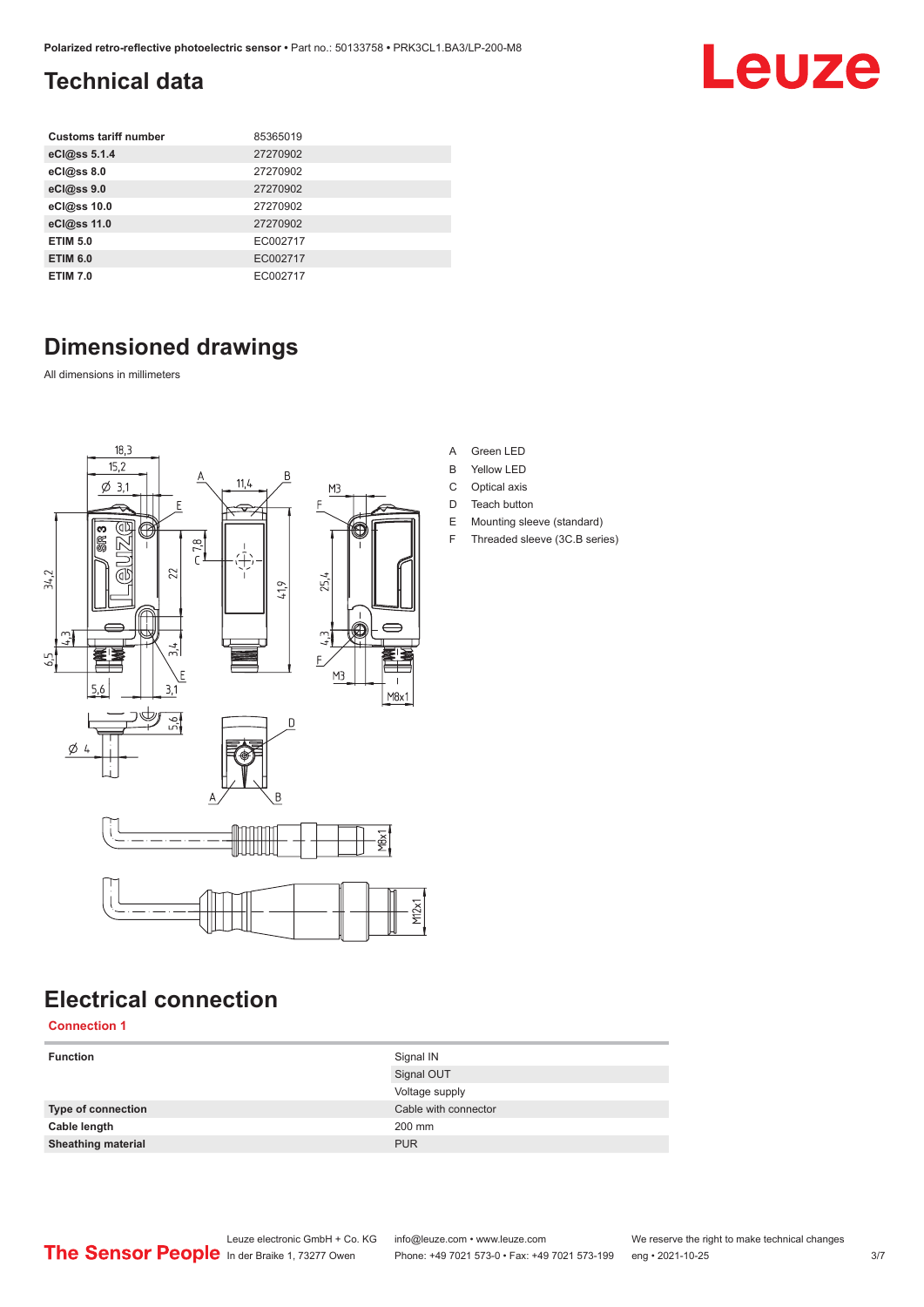## <span id="page-2-0"></span>**Technical data**

| <b>Customs tariff number</b> | 85365019 |
|------------------------------|----------|
| eCl@ss 5.1.4                 | 27270902 |
| eCl@ss 8.0                   | 27270902 |
| eCl@ss 9.0                   | 27270902 |
| eCl@ss 10.0                  | 27270902 |
| eCl@ss 11.0                  | 27270902 |
| <b>ETIM 5.0</b>              | EC002717 |
| <b>ETIM 6.0</b>              | EC002717 |
| <b>ETIM 7.0</b>              | EC002717 |

## **Dimensioned drawings**

All dimensions in millimeters



## **Electrical connection**

**Connection 1**

| <b>Function</b>           | Signal IN            |
|---------------------------|----------------------|
|                           | Signal OUT           |
|                           | Voltage supply       |
| Type of connection        | Cable with connector |
| Cable length              | 200 mm               |
| <b>Sheathing material</b> | <b>PUR</b>           |
|                           |                      |

### A Green LED

- B Yellow LED
- C Optical axis
- D Teach button
- E Mounting sleeve (standard)
- F Threaded sleeve (3C.B series)

## Leuze electronic GmbH + Co. KG info@leuze.com • www.leuze.com We reserve the right to make technical changes<br>
The Sensor People in der Braike 1, 73277 Owen Phone: +49 7021 573-0 • Fax: +49 7021 573-199 eng • 2021-10-25

Phone: +49 7021 573-0 • Fax: +49 7021 573-199 eng • 2021-10-25 3/7

Leuze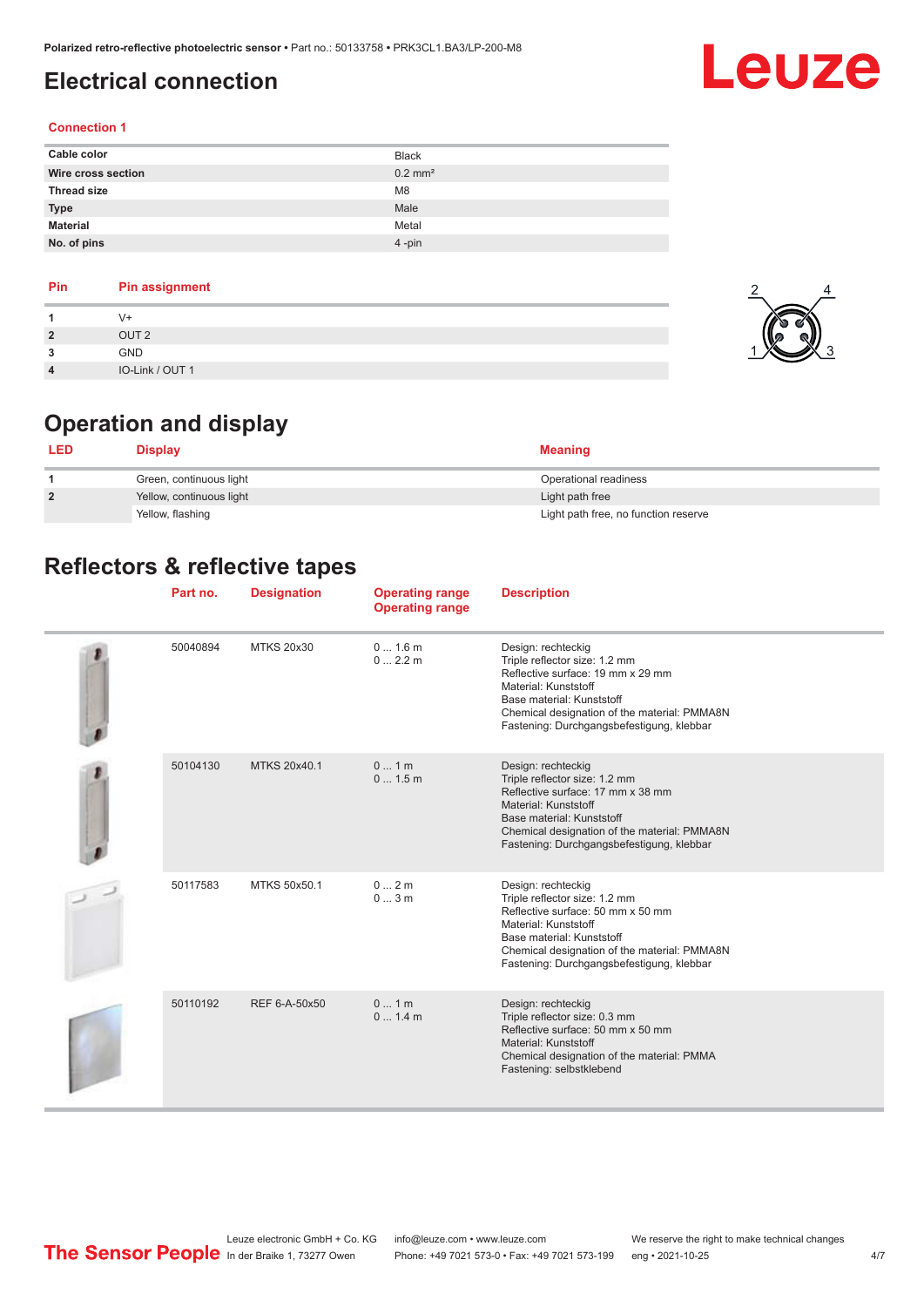## <span id="page-3-0"></span>**Electrical connection**

## Leuze

2

4

### **Connection 1**

| Cable color        | <b>Black</b>          |
|--------------------|-----------------------|
| Wire cross section | $0.2$ mm <sup>2</sup> |
| <b>Thread size</b> | M <sub>8</sub>        |
| <b>Type</b>        | Male                  |
| <b>Material</b>    | Metal                 |
| No. of pins        | $4$ -pin              |

### **Pin Pin assignment**

| $\overline{2}$          | OUT <sub>2</sub> |  |
|-------------------------|------------------|--|
| $\mathbf{\Omega}$<br>د. | GND              |  |
| 4                       | IO-Link / OUT 1  |  |

## **Operation and display**

| <b>LED</b>     | <b>Display</b>           | <b>Meaning</b>                       |
|----------------|--------------------------|--------------------------------------|
|                | Green, continuous light  | Operational readiness                |
| $\overline{2}$ | Yellow, continuous light | Light path free                      |
|                | Yellow, flashing         | Light path free, no function reserve |

## **Reflectors & reflective tapes**

| Part no. | <b>Designation</b> | <b>Operating range</b><br><b>Operating range</b> | <b>Description</b>                                                                                                                                                                                                                         |
|----------|--------------------|--------------------------------------------------|--------------------------------------------------------------------------------------------------------------------------------------------------------------------------------------------------------------------------------------------|
| 50040894 | <b>MTKS 20x30</b>  | 01.6m<br>02.2m                                   | Design: rechteckig<br>Triple reflector size: 1.2 mm<br>Reflective surface: 19 mm x 29 mm<br>Material: Kunststoff<br>Base material: Kunststoff<br>Chemical designation of the material: PMMA8N<br>Fastening: Durchgangsbefestigung, klebbar |
| 50104130 | MTKS 20x40.1       | 01m<br>0 1.5 m                                   | Design: rechteckig<br>Triple reflector size: 1.2 mm<br>Reflective surface: 17 mm x 38 mm<br>Material: Kunststoff<br>Base material: Kunststoff<br>Chemical designation of the material: PMMA8N<br>Fastening: Durchgangsbefestigung, klebbar |
| 50117583 | MTKS 50x50.1       | 02m<br>03m                                       | Design: rechteckig<br>Triple reflector size: 1.2 mm<br>Reflective surface: 50 mm x 50 mm<br>Material: Kunststoff<br>Base material: Kunststoff<br>Chemical designation of the material: PMMA8N<br>Fastening: Durchgangsbefestigung, klebbar |
| 50110192 | REF 6-A-50x50      | 01m<br>0 1.4 m                                   | Design: rechteckig<br>Triple reflector size: 0.3 mm<br>Reflective surface: 50 mm x 50 mm<br>Material: Kunststoff<br>Chemical designation of the material: PMMA<br>Fastening: selbstklebend                                                 |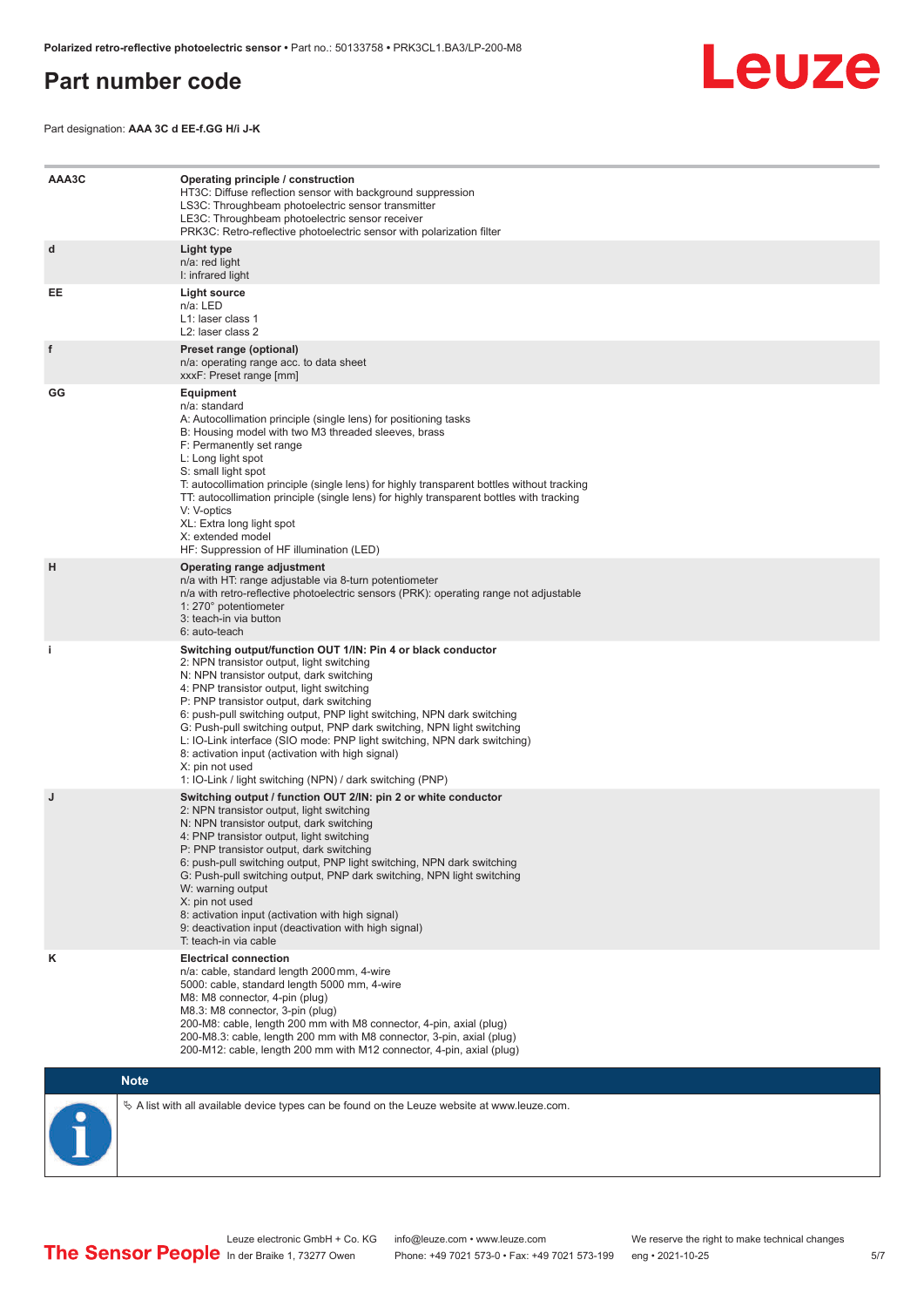### <span id="page-4-0"></span>**Part number code**



Part designation: **AAA 3C d EE-f.GG H/i J-K**

| AAA3C | Operating principle / construction<br>HT3C: Diffuse reflection sensor with background suppression<br>LS3C: Throughbeam photoelectric sensor transmitter<br>LE3C: Throughbeam photoelectric sensor receiver<br>PRK3C: Retro-reflective photoelectric sensor with polarization filter                                                                                                                                                                                                                                                                                                                                 |
|-------|---------------------------------------------------------------------------------------------------------------------------------------------------------------------------------------------------------------------------------------------------------------------------------------------------------------------------------------------------------------------------------------------------------------------------------------------------------------------------------------------------------------------------------------------------------------------------------------------------------------------|
| d     | Light type<br>n/a: red light<br>I: infrared light                                                                                                                                                                                                                                                                                                                                                                                                                                                                                                                                                                   |
| EE    | Light source<br>n/a: LED<br>L1: laser class 1<br>L2: laser class 2                                                                                                                                                                                                                                                                                                                                                                                                                                                                                                                                                  |
| f     | Preset range (optional)<br>n/a: operating range acc. to data sheet<br>xxxF: Preset range [mm]                                                                                                                                                                                                                                                                                                                                                                                                                                                                                                                       |
| GG    | <b>Equipment</b><br>n/a: standard<br>A: Autocollimation principle (single lens) for positioning tasks<br>B: Housing model with two M3 threaded sleeves, brass<br>F: Permanently set range<br>L: Long light spot<br>S: small light spot<br>T: autocollimation principle (single lens) for highly transparent bottles without tracking<br>TT: autocollimation principle (single lens) for highly transparent bottles with tracking<br>V: V-optics<br>XL: Extra long light spot<br>X: extended model<br>HF: Suppression of HF illumination (LED)                                                                       |
| H     | Operating range adjustment<br>n/a with HT: range adjustable via 8-turn potentiometer<br>n/a with retro-reflective photoelectric sensors (PRK): operating range not adjustable<br>1: 270° potentiometer<br>3: teach-in via button<br>6: auto-teach                                                                                                                                                                                                                                                                                                                                                                   |
| j.    | Switching output/function OUT 1/IN: Pin 4 or black conductor<br>2: NPN transistor output, light switching<br>N: NPN transistor output, dark switching<br>4: PNP transistor output, light switching<br>P: PNP transistor output, dark switching<br>6: push-pull switching output, PNP light switching, NPN dark switching<br>G: Push-pull switching output, PNP dark switching, NPN light switching<br>L: IO-Link interface (SIO mode: PNP light switching, NPN dark switching)<br>8: activation input (activation with high signal)<br>X: pin not used<br>1: IO-Link / light switching (NPN) / dark switching (PNP) |
| J     | Switching output / function OUT 2/IN: pin 2 or white conductor<br>2: NPN transistor output, light switching<br>N: NPN transistor output, dark switching<br>4: PNP transistor output, light switching<br>P: PNP transistor output, dark switching<br>6: push-pull switching output, PNP light switching, NPN dark switching<br>G: Push-pull switching output, PNP dark switching, NPN light switching<br>W: warning output<br>X: pin not used<br>8: activation input (activation with high signal)<br>9: deactivation input (deactivation with high signal)<br>T: teach-in via cable                                 |
| κ     | <b>Electrical connection</b><br>n/a: cable, standard length 2000 mm, 4-wire<br>5000: cable, standard length 5000 mm, 4-wire<br>M8: M8 connector, 4-pin (plug)<br>M8.3: M8 connector, 3-pin (plug)<br>200-M8: cable, length 200 mm with M8 connector, 4-pin, axial (plug)<br>200-M8.3: cable, length 200 mm with M8 connector, 3-pin, axial (plug)<br>200-M12: cable, length 200 mm with M12 connector, 4-pin, axial (plug)                                                                                                                                                                                          |

### **Note**

 $\%$  A list with all available device types can be found on the Leuze website at www.leuze.com.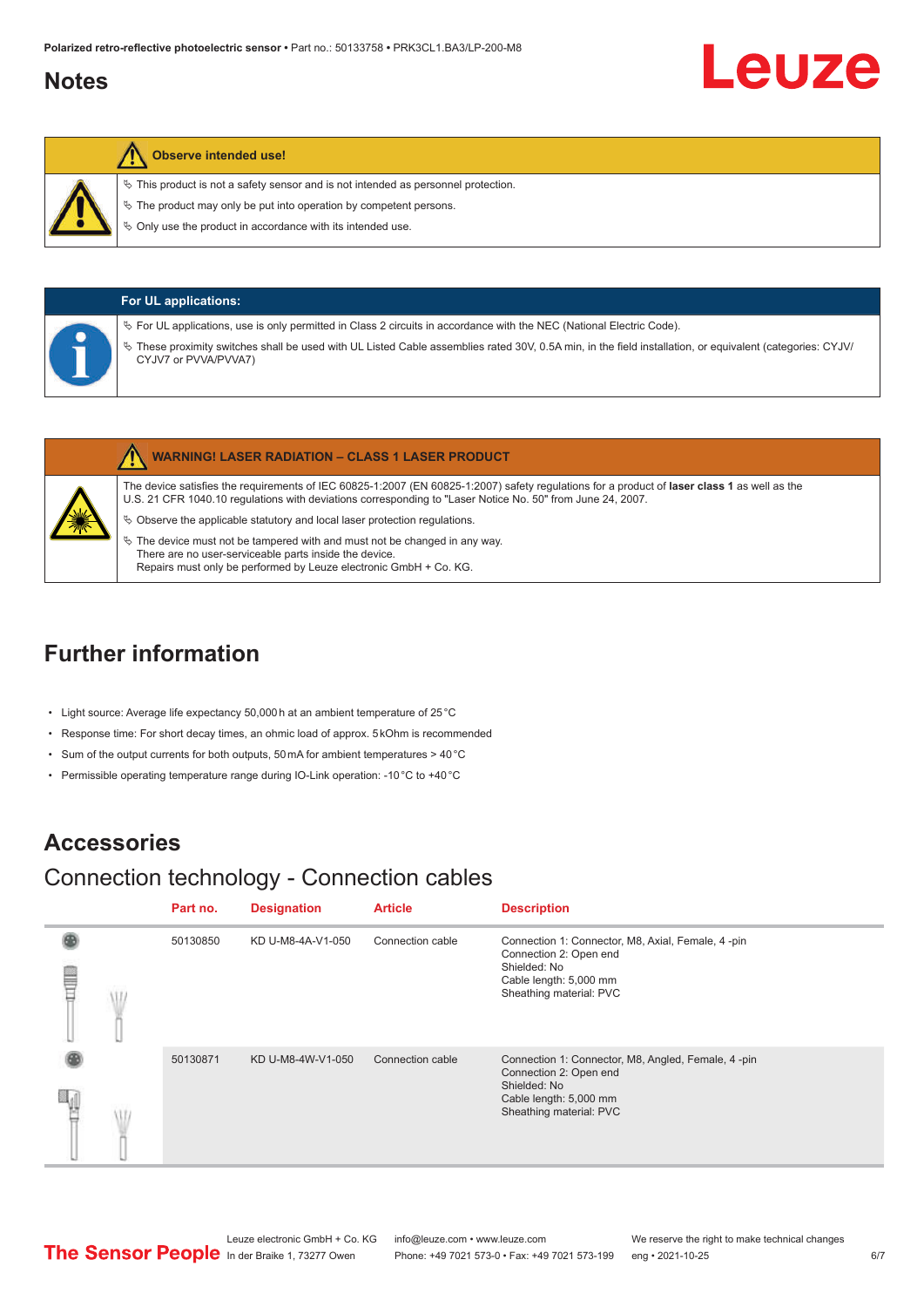## <span id="page-5-0"></span>**Notes**

# Leuze

### **Observe intended use!**

 $\%$  This product is not a safety sensor and is not intended as personnel protection.

 $\&$  The product may only be put into operation by competent persons.

 $\%$  Only use the product in accordance with its intended use.

| <b>For UL applications:</b>                                                                                                                                                                                                                                                                                   |
|---------------------------------------------------------------------------------------------------------------------------------------------------------------------------------------------------------------------------------------------------------------------------------------------------------------|
| $\%$ For UL applications, use is only permitted in Class 2 circuits in accordance with the NEC (National Electric Code).<br>V These proximity switches shall be used with UL Listed Cable assemblies rated 30V, 0.5A min, in the field installation, or equivalent (categories: CYJV/<br>CYJV7 or PVVA/PVVA7) |

|   | <b>WARNING! LASER RADIATION - CLASS 1 LASER PRODUCT</b>                                                                                                                                                                                                    |
|---|------------------------------------------------------------------------------------------------------------------------------------------------------------------------------------------------------------------------------------------------------------|
| 纂 | The device satisfies the requirements of IEC 60825-1:2007 (EN 60825-1:2007) safety regulations for a product of laser class 1 as well as the<br>U.S. 21 CFR 1040.10 regulations with deviations corresponding to "Laser Notice No. 50" from June 24, 2007. |
|   | $\&$ Observe the applicable statutory and local laser protection regulations.                                                                                                                                                                              |
|   | $\%$ The device must not be tampered with and must not be changed in any way.<br>There are no user-serviceable parts inside the device.                                                                                                                    |

## **Further information**

- Light source: Average life expectancy 50,000 h at an ambient temperature of 25 °C
- Response time: For short decay times, an ohmic load of approx. 5 kOhm is recommended

Repairs must only be performed by Leuze electronic GmbH + Co. KG.

- Sum of the output currents for both outputs, 50 mA for ambient temperatures > 40 °C
- Permissible operating temperature range during IO-Link operation: -10 °C to +40 °C

## **Accessories**

## Connection technology - Connection cables

|   | Part no. | <b>Designation</b> | <b>Article</b>   | <b>Description</b>                                                                                                                                |
|---|----------|--------------------|------------------|---------------------------------------------------------------------------------------------------------------------------------------------------|
| ⋚ | 50130850 | KD U-M8-4A-V1-050  | Connection cable | Connection 1: Connector, M8, Axial, Female, 4-pin<br>Connection 2: Open end<br>Shielded: No<br>Cable length: 5,000 mm<br>Sheathing material: PVC  |
|   | 50130871 | KD U-M8-4W-V1-050  | Connection cable | Connection 1: Connector, M8, Angled, Female, 4-pin<br>Connection 2: Open end<br>Shielded: No<br>Cable length: 5,000 mm<br>Sheathing material: PVC |